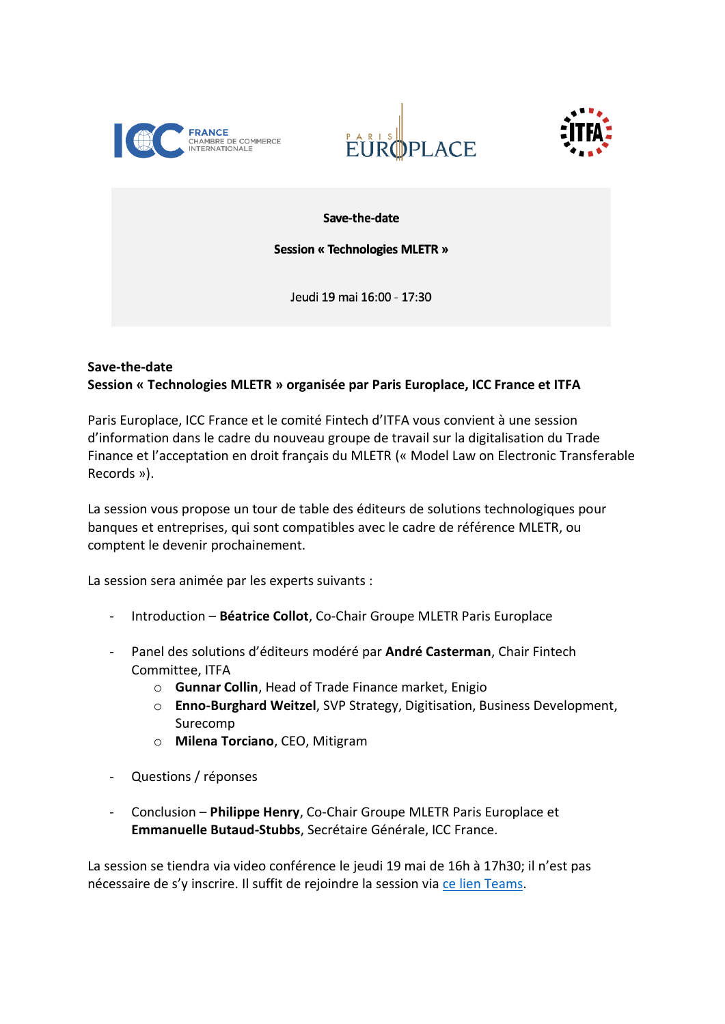





Save-the-date

**Session « Technologies MLETR »** 

Jeudi 19 mai 16:00 - 17:30

## **Save-the-date Session « Technologies MLETR » organisée par Paris Europlace, ICC France et ITFA**

Paris Europlace, ICC France et le comité Fintech d'ITFA vous convient à une session d'information dans le cadre du nouveau groupe de travail sur la digitalisation du Trade Finance et l'acceptation en droit français du MLETR (« Model Law on Electronic Transferable Records »).

La session vous propose un tour de table des éditeurs de solutions technologiques pour banques et entreprises, qui sont compatibles avec le cadre de référence MLETR, ou comptent le devenir prochainement.

La session sera animée par les experts suivants :

- Introduction **Béatrice Collot**, Co-Chair Groupe MLETR Paris Europlace
- Panel des solutions d'éditeurs modéré par André Casterman, Chair Fintech Committee, ITFA
	- o **Gunnar Collin**, Head of Trade Finance market, Enigio
	- o **Enno-Burghard Weitzel**, SVP Strategy, Digitisation, Business Development, Surecomp
	- o **Milena Torciano**, CEO, Mitigram
- Questions / réponses
- Conclusion **Philippe Henry**, Co-Chair Groupe MLETR Paris Europlace et **Emmanuelle Butaud-Stubbs**, Secrétaire Générale, ICC France.

La session se tiendra via video conférence le jeudi 19 mai de 16h à 17h30; il n'est pas nécessaire de s'y inscrire. Il suffit de rejoindre la session via [ce lien Teams.](https://teams.microsoft.com/l/meetup-join/19%3ameeting_MjFkNGZkYmMtNDMwNy00ZTc0LTg3ZDEtM2VhNzQyZDk3ZDc3%40thread.v2/0?context=%7b%22Tid%22%3a%2219484b5f-5a6c-4a9a-9896-70422abd9fd3%22%2c%22Oid%22%3a%22c0acf4da-0217-4154-be9e-e0b8f54f9f50%22%7d)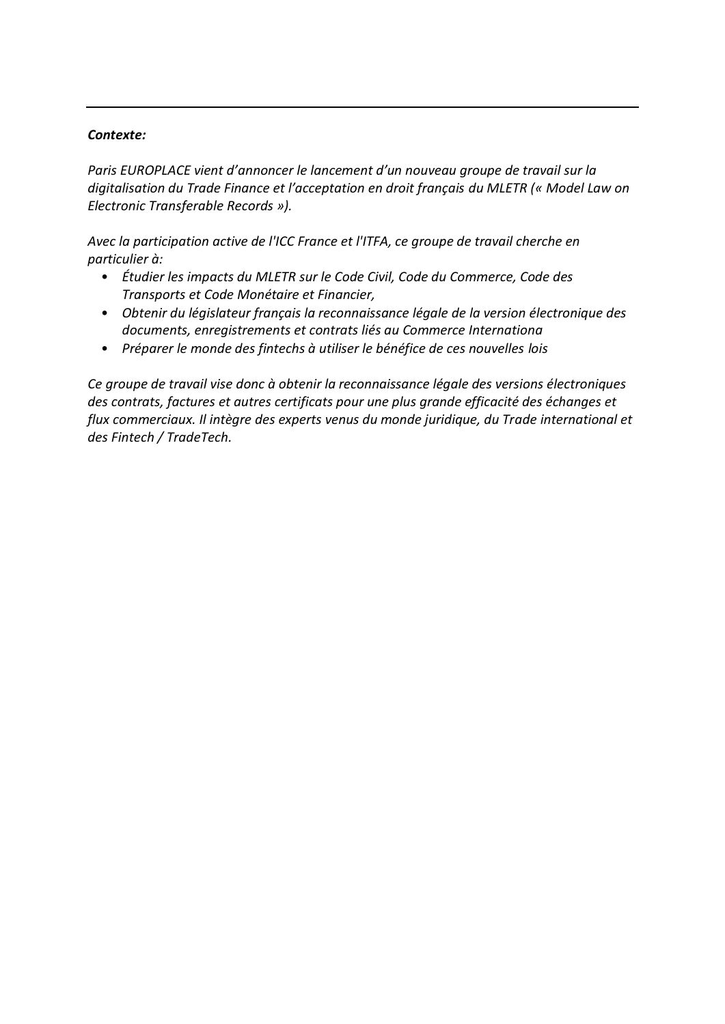## *Contexte:*

*Paris EUROPLACE vient d'annoncer le lancement d'un nouveau groupe de travail sur la digitalisation du Trade Finance et l'acceptation en droit français du MLETR (« Model Law on Electronic Transferable Records »).* 

*Avec la participation active de l'ICC France et l'ITFA, ce groupe de travail cherche en particulier à:*

- *Étudier les impacts du MLETR sur le Code Civil, Code du Commerce, Code des Transports et Code Monétaire et Financier,*
- *Obtenir du législateur français la reconnaissance légale de la version électronique des documents, enregistrements et contrats liés au Commerce Internationa*
- *Préparer le monde des fintechs à utiliser le bénéfice de ces nouvelles lois*

*Ce groupe de travail vise donc à obtenir la reconnaissance légale des versions électroniques des contrats, factures et autres certificats pour une plus grande efficacité des échanges et flux commerciaux. Il intègre des experts venus du monde juridique, du Trade international et des Fintech / TradeTech.*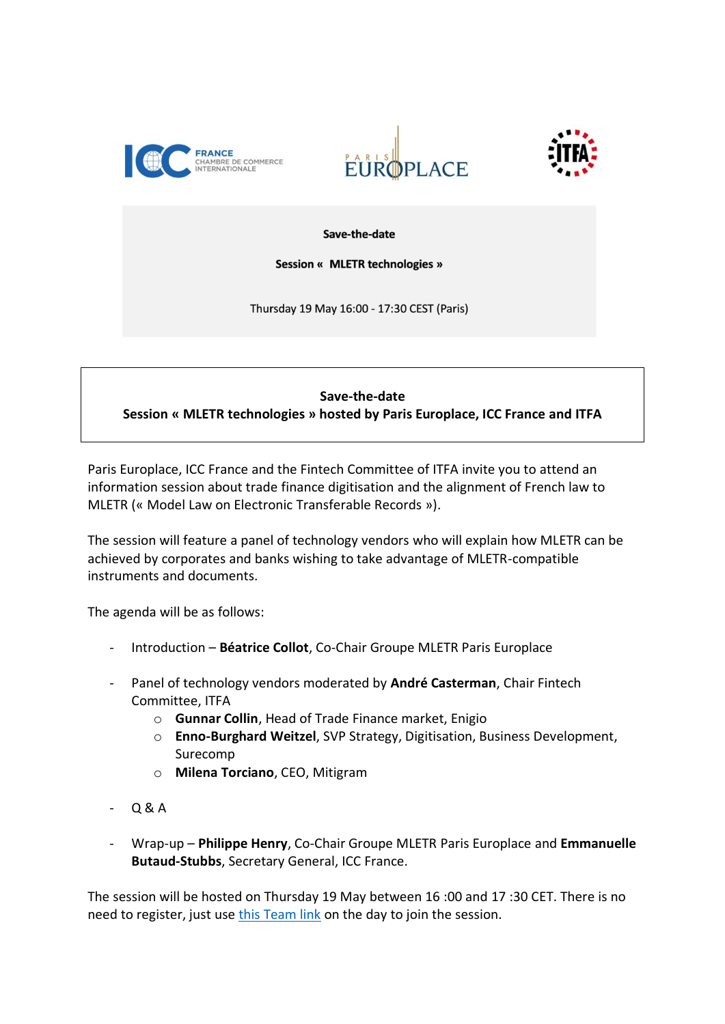





Save-the-date

**Session « MLETR technologies »** 

Thursday 19 May 16:00 - 17:30 CEST (Paris)

## **Save-the-date**

**Session « MLETR technologies » hosted by Paris Europlace, ICC France and ITFA**

Paris Europlace, ICC France and the Fintech Committee of ITFA invite you to attend an information session about trade finance digitisation and the alignment of French law to MLETR (« Model Law on Electronic Transferable Records »).

The session will feature a panel of technology vendors who will explain how MLETR can be achieved by corporates and banks wishing to take advantage of MLETR-compatible instruments and documents.

The agenda will be as follows:

- Introduction **Béatrice Collot**, Co-Chair Groupe MLETR Paris Europlace
- Panel of technology vendors moderated by **André Casterman**, Chair Fintech Committee, ITFA
	- o **Gunnar Collin**, Head of Trade Finance market, Enigio
	- o **Enno-Burghard Weitzel**, SVP Strategy, Digitisation, Business Development, Surecomp
	- o **Milena Torciano**, CEO, Mitigram
- $-$  Q & A
- Wrap-up **Philippe Henry**, Co-Chair Groupe MLETR Paris Europlace and **Emmanuelle Butaud-Stubbs**, Secretary General, ICC France.

The session will be hosted on Thursday 19 May between 16 :00 and 17 :30 CET. There is no need to register, just us[e this Team link](https://teams.microsoft.com/l/meetup-join/19%3ameeting_MjFkNGZkYmMtNDMwNy00ZTc0LTg3ZDEtM2VhNzQyZDk3ZDc3%40thread.v2/0?context=%7b%22Tid%22%3a%2219484b5f-5a6c-4a9a-9896-70422abd9fd3%22%2c%22Oid%22%3a%22c0acf4da-0217-4154-be9e-e0b8f54f9f50%22%7d) on the day to join the session.